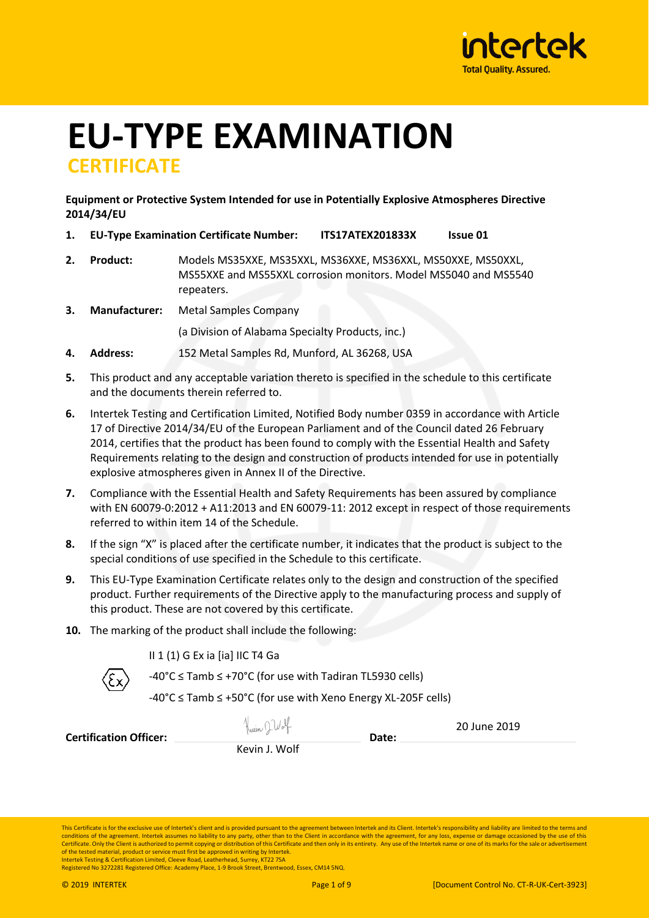

# **EU-TYPE EXAMINATION CERTIFICATE**

# **Equipment or Protective System Intended for use in Potentially Explosive Atmospheres Directive 2014/34/EU**

- **1. EU-Type Examination Certificate Number: ITS17ATEX201833X Issue 01**
- **2. Product:** Models MS35XXE, MS35XXL, MS36XXE, MS36XXL, MS50XXE, MS50XXL, MS55XXE and MS55XXL corrosion monitors. Model MS5040 and MS5540 repeaters.
- **3. Manufacturer:** Metal Samples Company

(a Division of Alabama Specialty Products, inc.)

- **4. Address:** 152 Metal Samples Rd, Munford, AL 36268, USA
- **5.** This product and any acceptable variation thereto is specified in the schedule to this certificate and the documents therein referred to.
- **6.** Intertek Testing and Certification Limited, Notified Body number 0359 in accordance with Article 17 of Directive 2014/34/EU of the European Parliament and of the Council dated 26 February 2014, certifies that the product has been found to comply with the Essential Health and Safety Requirements relating to the design and construction of products intended for use in potentially explosive atmospheres given in Annex II of the Directive.
- **7.** Compliance with the Essential Health and Safety Requirements has been assured by compliance with EN 60079-0:2012 + A11:2013 and EN 60079-11: 2012 except in respect of those requirements referred to within item 14 of the Schedule.
- **8.** If the sign "X" is placed after the certificate number, it indicates that the product is subject to the special conditions of use specified in the Schedule to this certificate.
- **9.** This EU-Type Examination Certificate relates only to the design and construction of the specified product. Further requirements of the Directive apply to the manufacturing process and supply of this product. These are not covered by this certificate.
- **10.** The marking of the product shall include the following:

II 1 (1) G Ex ia [ia] IIC T4 Ga

-40°C ≤ Tamb ≤ +70°C (for use with Tadiran TL5930 cells)

-40°C ≤ Tamb ≤ +50°C (for use with Xeno Energy XL-205F cells)

**Certification Officer: Date:**

εx

Kevin J. Wolf

20 June 2019

This Certificate is for the exclusive use of Intertek's client and is provided pursuant to the agreement between Intertek and its Client. Intertek's responsibility and liability are limited to the terms and<br>conditions of t Certificate. Only the Client is authorized to permit copying or distribution of this Certificate and then only in its entirety. Any use of the Intertek name or one of its marks for the sale or advertise of the tested material, product or service must first be approved in writing by Intertek. Intertek Testing & Certification Limited, Cleeve Road, Leatherhead, Surrey, KT22 7SA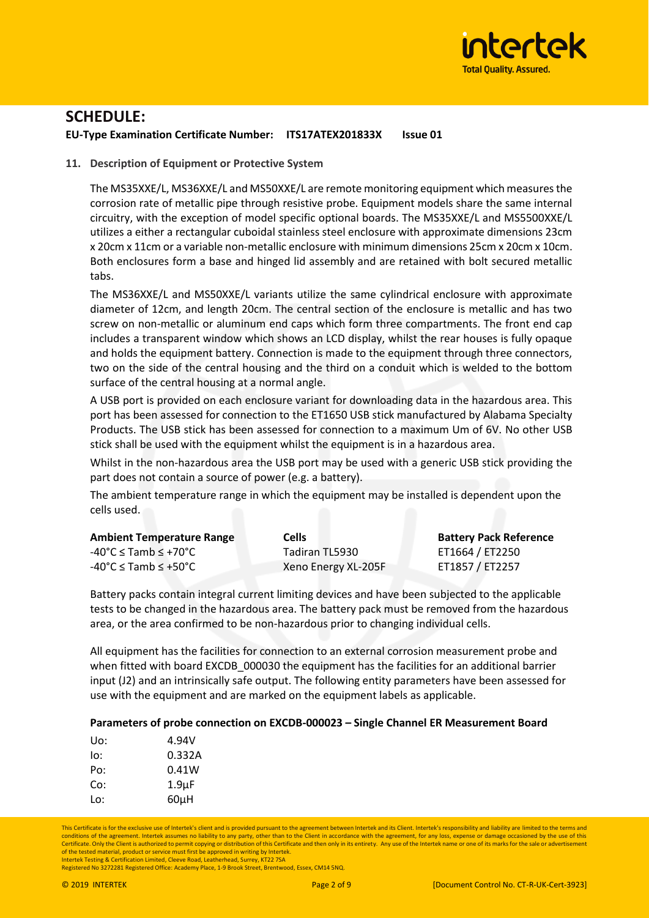

## **EU-Type Examination Certificate Number: ITS17ATEX201833X Issue 01**

## **11. Description of Equipment or Protective System**

The MS35XXE/L, MS36XXE/L and MS50XXE/L are remote monitoring equipment which measures the corrosion rate of metallic pipe through resistive probe. Equipment models share the same internal circuitry, with the exception of model specific optional boards. The MS35XXE/L and MS5500XXE/L utilizes a either a rectangular cuboidal stainless steel enclosure with approximate dimensions 23cm x 20cm x 11cm or a variable non-metallic enclosure with minimum dimensions 25cm x 20cm x 10cm. Both enclosures form a base and hinged lid assembly and are retained with bolt secured metallic tabs.

The MS36XXE/L and MS50XXE/L variants utilize the same cylindrical enclosure with approximate diameter of 12cm, and length 20cm. The central section of the enclosure is metallic and has two screw on non-metallic or aluminum end caps which form three compartments. The front end cap includes a transparent window which shows an LCD display, whilst the rear houses is fully opaque and holds the equipment battery. Connection is made to the equipment through three connectors, two on the side of the central housing and the third on a conduit which is welded to the bottom surface of the central housing at a normal angle.

A USB port is provided on each enclosure variant for downloading data in the hazardous area. This port has been assessed for connection to the ET1650 USB stick manufactured by Alabama Specialty Products. The USB stick has been assessed for connection to a maximum Um of 6V. No other USB stick shall be used with the equipment whilst the equipment is in a hazardous area.

Whilst in the non-hazardous area the USB port may be used with a generic USB stick providing the part does not contain a source of power (e.g. a battery).

The ambient temperature range in which the equipment may be installed is dependent upon the cells used.

| <b>Ambient Temperature Range</b>             | <b>Cells</b>        | <b>Battery Pack Reference</b> |
|----------------------------------------------|---------------------|-------------------------------|
| $-40^{\circ}$ C $\leq$ Tamb $\leq$ +70°C $-$ | Tadiran TL5930      | ET1664 / ET2250               |
| $-40^{\circ}$ C $\leq$ Tamb $\leq$ +50°C     | Xeno Energy XL-205F | ET1857 / ET2257               |

Battery packs contain integral current limiting devices and have been subjected to the applicable tests to be changed in the hazardous area. The battery pack must be removed from the hazardous area, or the area confirmed to be non-hazardous prior to changing individual cells.

All equipment has the facilities for connection to an external corrosion measurement probe and when fitted with board EXCDB 000030 the equipment has the facilities for an additional barrier input (J2) and an intrinsically safe output. The following entity parameters have been assessed for use with the equipment and are marked on the equipment labels as applicable.

## **Parameters of probe connection on EXCDB-000023 – Single Channel ER Measurement Board**

| Uo: | 4.94V              |
|-----|--------------------|
| lo: | 0.332A             |
| Po: | 0.41W              |
| Co: | 1.9 <sub>µ</sub> F |
| Lo: | $60\mu$ H          |

This Certificate is for the exclusive use of Intertek's client and is provided pursuant to the agreement between Intertek and its Client. Intertek's responsibility and liability are limited to the terms and conditions of the agreement. Intertek assumes no liability to any party, other than to the Client in accordance with the agreement, for any loss, expense or damage occasioned by the use of this Certificate. Only the Client is authorized to permit copying or distribution of this Certificate and then only in its entirety. Any use of the Intertek name or one of its marks for the sale or advertise of the tested material, product or service must first be approved in writing by Intertek. Intertek Testing & Certification Limited, Cleeve Road, Leatherhead, Surrey, KT22 7SA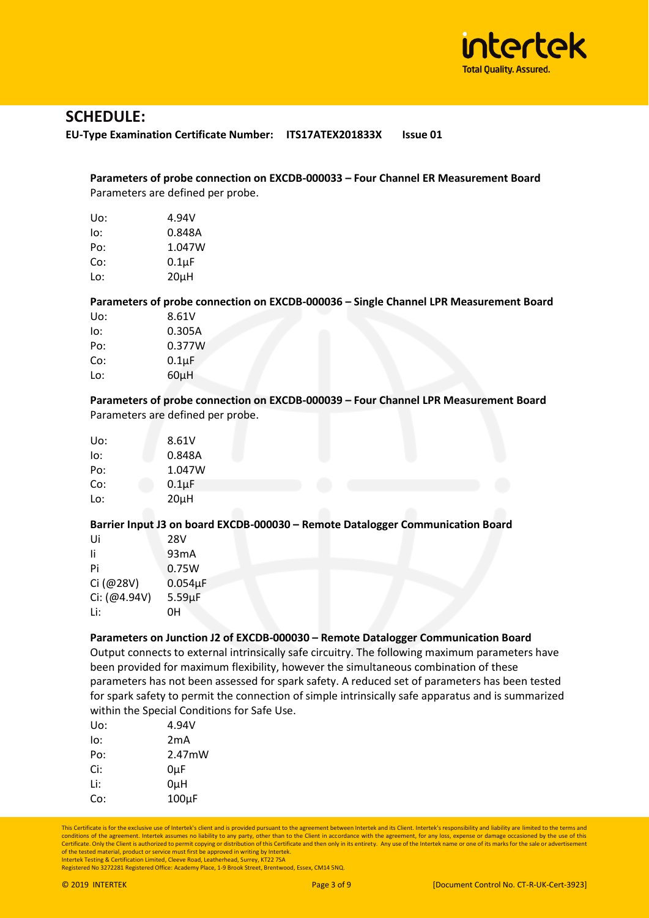

**EU-Type Examination Certificate Number: ITS17ATEX201833X Issue 01**

# **Parameters of probe connection on EXCDB-000033 – Four Channel ER Measurement Board**  Parameters are defined per probe.

| 4.94V      |
|------------|
| 0.848A     |
| 1.047W     |
| $0.1\mu F$ |
| $20\mu$ H  |
|            |

# **Parameters of probe connection on EXCDB-000036 – Single Channel LPR Measurement Board**

| Uo: | 8.61V      |
|-----|------------|
| lo: | 0.305A     |
| Po: | 0.377W     |
| Co: | $0.1\mu F$ |
| Lo: | $60\mu$ H  |

# **Parameters of probe connection on EXCDB-000039 – Four Channel LPR Measurement Board**  Parameters are defined per probe.

| Uo: | 8.61V       |
|-----|-------------|
| lo: | 0.848A      |
| Po: | 1.047W      |
| Co: | $0.1 \mu F$ |
| Lo: | $20\mu$ H   |

## **Barrier Input J3 on board EXCDB-000030 – Remote Datalogger Communication Board**

| Ui           | 28V          |
|--------------|--------------|
| Ιi           | 93mA         |
| Pi           | 0.75W        |
| Ci (@28V)    | $0.054\mu F$ |
| Ci: (@4.94V) | $5.59 \mu F$ |
| Li:          | 0Η           |

## **Parameters on Junction J2 of EXCDB-000030 – Remote Datalogger Communication Board**

Output connects to external intrinsically safe circuitry. The following maximum parameters have been provided for maximum flexibility, however the simultaneous combination of these parameters has not been assessed for spark safety. A reduced set of parameters has been tested for spark safety to permit the connection of simple intrinsically safe apparatus and is summarized within the Special Conditions for Safe Use.

| Uo: | 4.94V      |
|-----|------------|
| lo: | 2mA        |
| Po: | 2.47mW     |
| Ci: | 0µF        |
| Li: | 0µH        |
| Co: | $100\mu F$ |

This Certificate is for the exclusive use of Intertek's client and is provided pursuant to the agreement between Intertek and its Client. Intertek's responsibility and liability are limited to the terms and<br>conditions of t Certificate. Only the Client is authorized to permit copying or distribution of this Certificate and then only in its entirety. Any use of the Intertek name or one of its marks for the sale or advertise of the tested material, product or service must first be approved in writing by Intertek. Intertek Testing & Certification Limited, Cleeve Road, Leatherhead, Surrey, KT22 7SA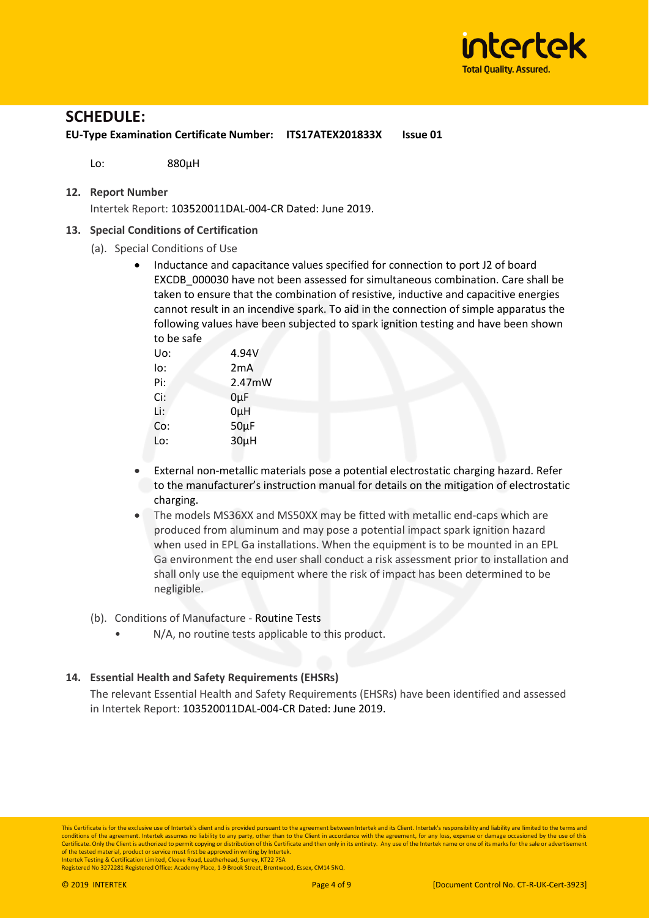

**EU-Type Examination Certificate Number: ITS17ATEX201833X Issue 01**

Lo: 880µH

#### **12. Report Number**

Intertek Report: 103520011DAL-004-CR Dated: June 2019.

#### **13. Special Conditions of Certification**

- (a). Special Conditions of Use
	- Inductance and capacitance values specified for connection to port J2 of board EXCDB\_000030 have not been assessed for simultaneous combination. Care shall be taken to ensure that the combination of resistive, inductive and capacitive energies cannot result in an incendive spark. To aid in the connection of simple apparatus the following values have been subjected to spark ignition testing and have been shown to be safe

| Uo: | 4.94V     |
|-----|-----------|
| lo: | 2mA       |
| Pi: | 2.47mW    |
| Ci: | $0\mu F$  |
| Li: | 0µH       |
| Co: | $50\mu F$ |
| Lo: | $30\mu$ H |
|     |           |

- External non-metallic materials pose a potential electrostatic charging hazard. Refer to the manufacturer's instruction manual for details on the mitigation of electrostatic charging.
- The models MS36XX and MS50XX may be fitted with metallic end-caps which are produced from aluminum and may pose a potential impact spark ignition hazard when used in EPL Ga installations. When the equipment is to be mounted in an EPL Ga environment the end user shall conduct a risk assessment prior to installation and shall only use the equipment where the risk of impact has been determined to be negligible.
- (b). Conditions of Manufacture Routine Tests
	- N/A, no routine tests applicable to this product.

## **14. Essential Health and Safety Requirements (EHSRs)**

The relevant Essential Health and Safety Requirements (EHSRs) have been identified and assessed in Intertek Report: 103520011DAL-004-CR Dated: June 2019.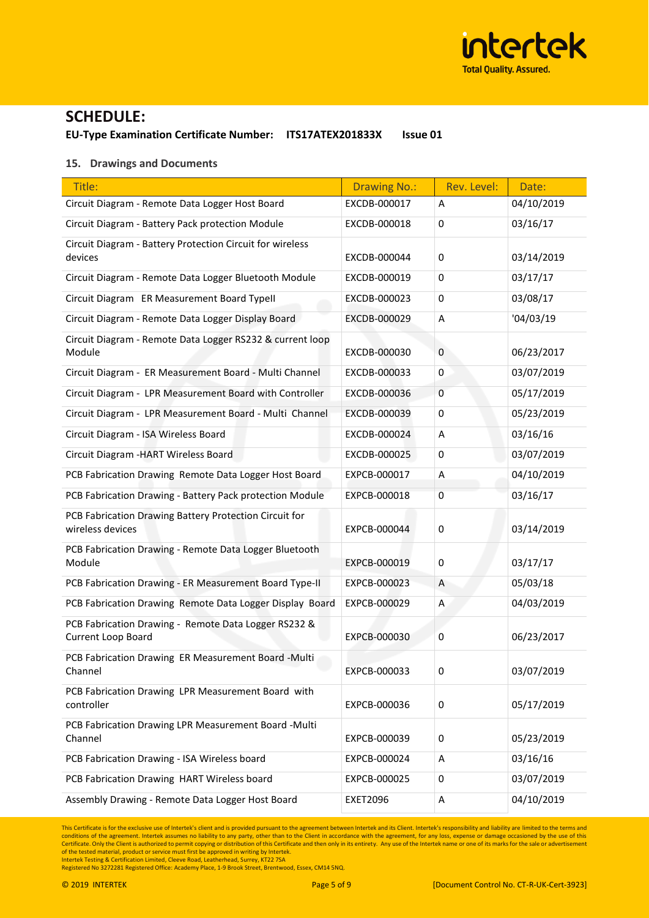

**EU-Type Examination Certificate Number: ITS17ATEX201833X Issue 01**

#### **15. Drawings and Documents**

| Title:                                                                     | <b>Drawing No.:</b> | Rev. Level:  | Date:      |
|----------------------------------------------------------------------------|---------------------|--------------|------------|
| Circuit Diagram - Remote Data Logger Host Board                            | EXCDB-000017        | Α            | 04/10/2019 |
| Circuit Diagram - Battery Pack protection Module                           | EXCDB-000018        | $\mathbf 0$  | 03/16/17   |
| Circuit Diagram - Battery Protection Circuit for wireless<br>devices       | EXCDB-000044        | $\mathbf 0$  | 03/14/2019 |
| Circuit Diagram - Remote Data Logger Bluetooth Module                      | EXCDB-000019        | $\mathbf 0$  | 03/17/17   |
| Circuit Diagram ER Measurement Board Typell                                | EXCDB-000023        | $\mathbf 0$  | 03/08/17   |
| Circuit Diagram - Remote Data Logger Display Board                         | EXCDB-000029        | A            | '04/03/19  |
| Circuit Diagram - Remote Data Logger RS232 & current loop<br>Module        | EXCDB-000030        | $\mathbf{0}$ | 06/23/2017 |
| Circuit Diagram - ER Measurement Board - Multi Channel                     | EXCDB-000033        | 0            | 03/07/2019 |
| Circuit Diagram - LPR Measurement Board with Controller                    | EXCDB-000036        | $\mathbf{0}$ | 05/17/2019 |
| Circuit Diagram - LPR Measurement Board - Multi Channel                    | EXCDB-000039        | $\mathbf 0$  | 05/23/2019 |
| Circuit Diagram - ISA Wireless Board                                       | EXCDB-000024        | Α            | 03/16/16   |
| Circuit Diagram - HART Wireless Board                                      | EXCDB-000025        | 0            | 03/07/2019 |
| PCB Fabrication Drawing Remote Data Logger Host Board                      | EXPCB-000017        | A            | 04/10/2019 |
| PCB Fabrication Drawing - Battery Pack protection Module                   | EXPCB-000018        | 0            | 03/16/17   |
| PCB Fabrication Drawing Battery Protection Circuit for<br>wireless devices | EXPCB-000044        | $\mathbf 0$  | 03/14/2019 |
| PCB Fabrication Drawing - Remote Data Logger Bluetooth<br>Module           | EXPCB-000019        | 0            | 03/17/17   |
| PCB Fabrication Drawing - ER Measurement Board Type-II                     | EXPCB-000023        | A            | 05/03/18   |
| PCB Fabrication Drawing Remote Data Logger Display Board                   | EXPCB-000029        | A            | 04/03/2019 |
| PCB Fabrication Drawing - Remote Data Logger RS232 &<br>Current Loop Board | EXPCB-000030        | 0            | 06/23/2017 |
| PCB Fabrication Drawing ER Measurement Board -Multi<br>Channel             | EXPCB-000033        | 0            | 03/07/2019 |
| PCB Fabrication Drawing LPR Measurement Board with<br>controller           | EXPCB-000036        | 0            | 05/17/2019 |
| PCB Fabrication Drawing LPR Measurement Board -Multi<br>Channel            | EXPCB-000039        | 0            | 05/23/2019 |
| PCB Fabrication Drawing - ISA Wireless board                               | EXPCB-000024        | Α            | 03/16/16   |
| PCB Fabrication Drawing HART Wireless board                                | EXPCB-000025        | 0            | 03/07/2019 |
| Assembly Drawing - Remote Data Logger Host Board                           | <b>EXET2096</b>     | Α            | 04/10/2019 |

This Certificate is for the exclusive use of Intertek's client and is provided pursuant to the agreement between Intertek and its Client. Intertek's responsibility and liability are limited to the terms and conditions of t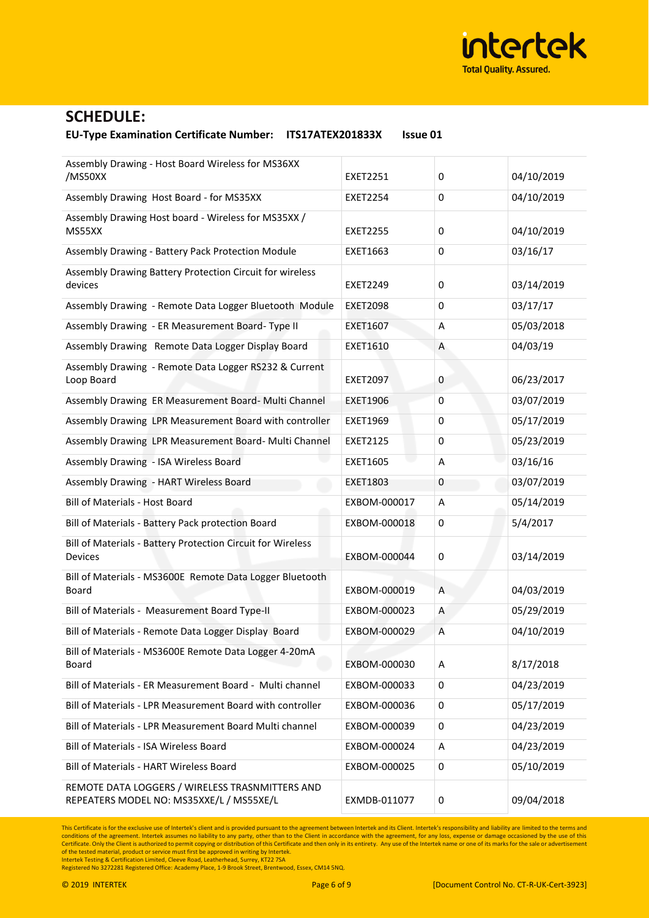

#### **EU-Type Examination Certificate Number: ITS17ATEX201833X Issue 01**

| Assembly Drawing - Host Board Wireless for MS36XX<br>/MS50XX                                | <b>EXET2251</b> | 0           | 04/10/2019 |
|---------------------------------------------------------------------------------------------|-----------------|-------------|------------|
| Assembly Drawing Host Board - for MS35XX                                                    | <b>EXET2254</b> | $\mathbf 0$ | 04/10/2019 |
| Assembly Drawing Host board - Wireless for MS35XX /<br>MS55XX                               | <b>EXET2255</b> | 0           | 04/10/2019 |
| Assembly Drawing - Battery Pack Protection Module                                           | EXET1663        | $\mathbf 0$ | 03/16/17   |
| Assembly Drawing Battery Protection Circuit for wireless<br>devices                         | <b>EXET2249</b> | 0           | 03/14/2019 |
| Assembly Drawing - Remote Data Logger Bluetooth Module                                      | <b>EXET2098</b> | 0           | 03/17/17   |
| Assembly Drawing - ER Measurement Board- Type II                                            | <b>EXET1607</b> | Α           | 05/03/2018 |
| Assembly Drawing Remote Data Logger Display Board                                           | <b>EXET1610</b> | Α           | 04/03/19   |
| Assembly Drawing - Remote Data Logger RS232 & Current<br>Loop Board                         | <b>EXET2097</b> | 0           | 06/23/2017 |
| Assembly Drawing ER Measurement Board- Multi Channel                                        | <b>EXET1906</b> | 0           | 03/07/2019 |
| Assembly Drawing LPR Measurement Board with controller                                      | <b>EXET1969</b> | $\mathbf 0$ | 05/17/2019 |
| Assembly Drawing LPR Measurement Board- Multi Channel                                       | <b>EXET2125</b> | $\mathbf 0$ | 05/23/2019 |
| Assembly Drawing - ISA Wireless Board                                                       | <b>EXET1605</b> | A           | 03/16/16   |
| Assembly Drawing - HART Wireless Board                                                      | EXET1803        | 0           | 03/07/2019 |
| <b>Bill of Materials - Host Board</b>                                                       | EXBOM-000017    | Α           | 05/14/2019 |
| Bill of Materials - Battery Pack protection Board                                           | EXBOM-000018    | 0           | 5/4/2017   |
| Bill of Materials - Battery Protection Circuit for Wireless<br><b>Devices</b>               | EXBOM-000044    | 0           | 03/14/2019 |
| Bill of Materials - MS3600E Remote Data Logger Bluetooth<br>Board                           | EXBOM-000019    | Α           | 04/03/2019 |
| Bill of Materials - Measurement Board Type-II                                               | EXBOM-000023    | Α           | 05/29/2019 |
| Bill of Materials - Remote Data Logger Display Board                                        | EXBOM-000029    | Α           | 04/10/2019 |
| Bill of Materials - MS3600E Remote Data Logger 4-20mA<br>Board                              | EXBOM-000030    | Α           | 8/17/2018  |
| Bill of Materials - ER Measurement Board - Multi channel                                    | EXBOM-000033    | 0           | 04/23/2019 |
| Bill of Materials - LPR Measurement Board with controller                                   | EXBOM-000036    | 0           | 05/17/2019 |
| Bill of Materials - LPR Measurement Board Multi channel                                     | EXBOM-000039    | 0           | 04/23/2019 |
| Bill of Materials - ISA Wireless Board                                                      | EXBOM-000024    | Α           | 04/23/2019 |
| <b>Bill of Materials - HART Wireless Board</b>                                              | EXBOM-000025    | 0           | 05/10/2019 |
| REMOTE DATA LOGGERS / WIRELESS TRASNMITTERS AND<br>REPEATERS MODEL NO: MS35XXE/L / MS55XE/L | EXMDB-011077    | 0           | 09/04/2018 |

This Certificate is for the exclusive use of Intertek's client and is provided pursuant to the agreement between Intertek and its Client. Intertek's responsibility and liability are limited to the terms and conditions of t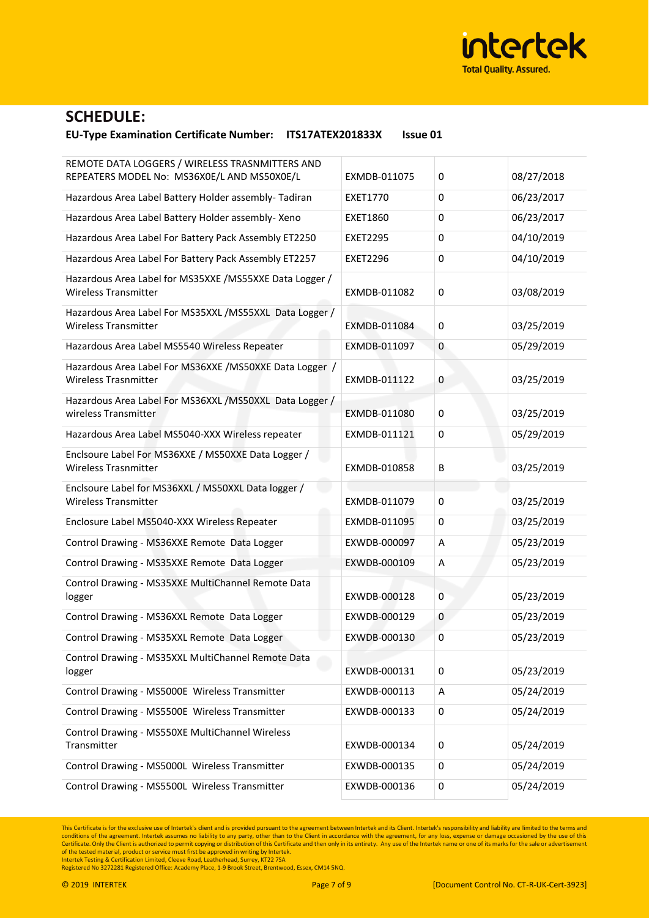

#### **EU-Type Examination Certificate Number: ITS17ATEX201833X Issue 01**

| REMOTE DATA LOGGERS / WIRELESS TRASNMITTERS AND<br>REPEATERS MODEL No: MS36X0E/L AND MS50X0E/L | EXMDB-011075    | 0           | 08/27/2018 |
|------------------------------------------------------------------------------------------------|-----------------|-------------|------------|
| Hazardous Area Label Battery Holder assembly- Tadiran                                          | <b>EXET1770</b> | $\mathbf 0$ | 06/23/2017 |
| Hazardous Area Label Battery Holder assembly- Xeno                                             | <b>EXET1860</b> | $\mathbf 0$ | 06/23/2017 |
| Hazardous Area Label For Battery Pack Assembly ET2250                                          | <b>EXET2295</b> | $\mathbf 0$ | 04/10/2019 |
| Hazardous Area Label For Battery Pack Assembly ET2257                                          | <b>EXET2296</b> | $\mathbf 0$ | 04/10/2019 |
| Hazardous Area Label for MS35XXE / MS55XXE Data Logger /<br><b>Wireless Transmitter</b>        | EXMDB-011082    | $\mathbf 0$ | 03/08/2019 |
| Hazardous Area Label For MS35XXL / MS55XXL Data Logger /<br><b>Wireless Transmitter</b>        | EXMDB-011084    | 0           | 03/25/2019 |
| Hazardous Area Label MS5540 Wireless Repeater                                                  | EXMDB-011097    | 0           | 05/29/2019 |
| Hazardous Area Label For MS36XXE / MS50XXE Data Logger /<br><b>Wireless Trasnmitter</b>        | EXMDB-011122    | 0           | 03/25/2019 |
| Hazardous Area Label For MS36XXL / MS50XXL Data Logger /<br>wireless Transmitter               | EXMDB-011080    | 0           | 03/25/2019 |
| Hazardous Area Label MS5040-XXX Wireless repeater                                              | EXMDB-011121    | $\mathbf 0$ | 05/29/2019 |
| Enclsoure Label For MS36XXE / MS50XXE Data Logger /<br><b>Wireless Trasnmitter</b>             | EXMDB-010858    | B           | 03/25/2019 |
| Enclsoure Label for MS36XXL / MS50XXL Data logger /<br><b>Wireless Transmitter</b>             | EXMDB-011079    | $\mathbf 0$ | 03/25/2019 |
| Enclosure Label MS5040-XXX Wireless Repeater                                                   | EXMDB-011095    | 0           | 03/25/2019 |
| Control Drawing - MS36XXE Remote Data Logger                                                   | EXWDB-000097    | Α           | 05/23/2019 |
| Control Drawing - MS35XXE Remote Data Logger                                                   | EXWDB-000109    | Α           | 05/23/2019 |
| Control Drawing - MS35XXE MultiChannel Remote Data<br>logger                                   | EXWDB-000128    | $\mathbf 0$ | 05/23/2019 |
| Control Drawing - MS36XXL Remote Data Logger                                                   | EXWDB-000129    | 0           | 05/23/2019 |
| Control Drawing - MS35XXL Remote Data Logger                                                   | EXWDB-000130    | 0           | 05/23/2019 |
| Control Drawing - MS35XXL MultiChannel Remote Data<br>logger                                   | EXWDB-000131    | 0           | 05/23/2019 |
| Control Drawing - MS5000E Wireless Transmitter                                                 | EXWDB-000113    | А           | 05/24/2019 |
| Control Drawing - MS5500E Wireless Transmitter                                                 | EXWDB-000133    | $\pmb{0}$   | 05/24/2019 |
| Control Drawing - MS550XE MultiChannel Wireless<br>Transmitter                                 | EXWDB-000134    | 0           | 05/24/2019 |
| Control Drawing - MS5000L Wireless Transmitter                                                 | EXWDB-000135    | 0           | 05/24/2019 |
| Control Drawing - MS5500L Wireless Transmitter                                                 | EXWDB-000136    | 0           | 05/24/2019 |

This Certificate is for the exclusive use of Intertek's client and is provided pursuant to the agreement between Intertek and its Client. Intertek's responsibility and liability are limited to the terms and conditions of t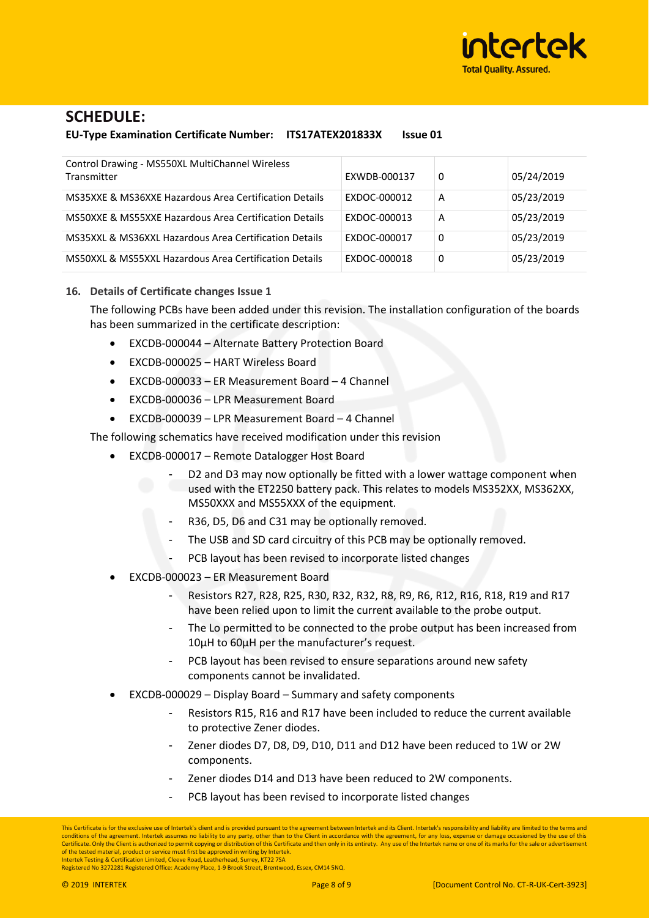

**EU-Type Examination Certificate Number: ITS17ATEX201833X Issue 01**

| Control Drawing - MS550XL MultiChannel Wireless<br>Transmitter | EXWDB-000137        | 0        | 05/24/2019 |
|----------------------------------------------------------------|---------------------|----------|------------|
| MS35XXE & MS36XXE Hazardous Area Certification Details         | EXDOC-000012        | A        | 05/23/2019 |
| MS50XXE & MS55XXE Hazardous Area Certification Details         | <b>FXDOC-000013</b> | A        | 05/23/2019 |
| MS35XXL & MS36XXL Hazardous Area Certification Details         | EXDOC-000017        | $\Omega$ | 05/23/2019 |
| MS50XXL & MS55XXL Hazardous Area Certification Details         | EXDOC-000018        | $\Omega$ | 05/23/2019 |

#### **16. Details of Certificate changes Issue 1**

The following PCBs have been added under this revision. The installation configuration of the boards has been summarized in the certificate description:

- EXCDB-000044 Alternate Battery Protection Board
- EXCDB-000025 HART Wireless Board
- EXCDB-000033 ER Measurement Board 4 Channel
- EXCDB-000036 LPR Measurement Board
- EXCDB-000039 LPR Measurement Board 4 Channel

The following schematics have received modification under this revision

- EXCDB-000017 Remote Datalogger Host Board
	- D2 and D3 may now optionally be fitted with a lower wattage component when used with the ET2250 battery pack. This relates to models MS352XX, MS362XX, MS50XXX and MS55XXX of the equipment.
	- R36, D5, D6 and C31 may be optionally removed.
	- The USB and SD card circuitry of this PCB may be optionally removed.
	- PCB layout has been revised to incorporate listed changes
- EXCDB-000023 ER Measurement Board
	- Resistors R27, R28, R25, R30, R32, R32, R8, R9, R6, R12, R16, R18, R19 and R17 have been relied upon to limit the current available to the probe output.
	- The Lo permitted to be connected to the probe output has been increased from 10µH to 60µH per the manufacturer's request.
	- PCB layout has been revised to ensure separations around new safety components cannot be invalidated.
- EXCDB-000029 Display Board Summary and safety components
	- Resistors R15, R16 and R17 have been included to reduce the current available to protective Zener diodes.
	- Zener diodes D7, D8, D9, D10, D11 and D12 have been reduced to 1W or 2W components.
	- Zener diodes D14 and D13 have been reduced to 2W components.
	- PCB layout has been revised to incorporate listed changes

This Certificate is for the exclusive use of Intertek's client and is provided pursuant to the agreement between Intertek and its Client. Intertek's responsibility and liability are limited to the terms and conditions of the agreement. Intertek assumes no liability to any party, other than to the Client in accordance with the agreement, for any loss, expense or damage occasioned by the use of this Certificate. Only the Client is authorized to permit copying or distribution of this Certificate and then only in its entirety. Any use of the Intertek name or one of its marks for the sale or advertise of the tested material, product or service must first be approved in writing by Intertek. Intertek Testing & Certification Limited, Cleeve Road, Leatherhead, Surrey, KT22 7SA